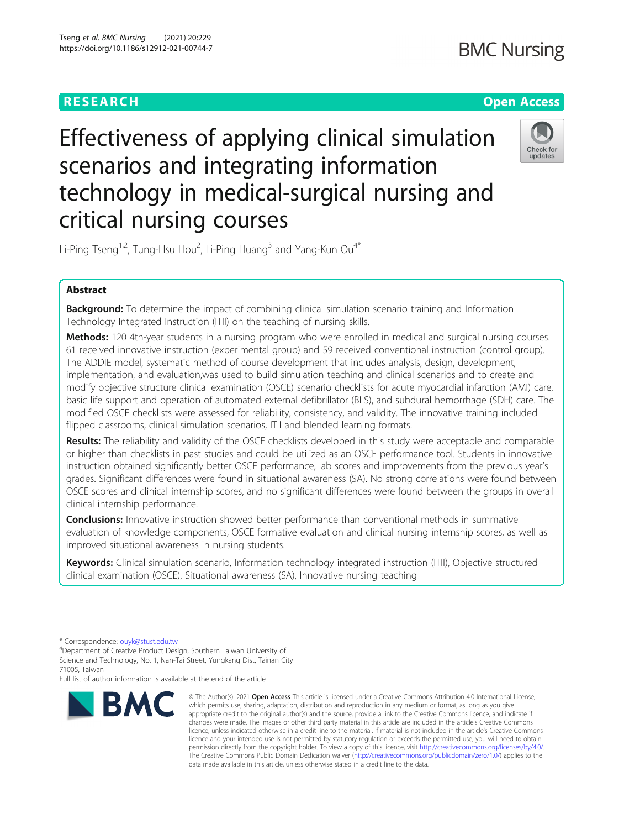# **RESEARCH CHEAR CHEAR CHEAR CHEAR CHEAR CHEAP CONTROL**

# Effectiveness of applying clinical simulation scenarios and integrating information technology in medical-surgical nursing and critical nursing courses



Li-Ping Tseng<sup>1,2</sup>, Tung-Hsu Hou<sup>2</sup>, Li-Ping Huang<sup>3</sup> and Yang-Kun Ou<sup>4\*</sup>

# Abstract

**Background:** To determine the impact of combining clinical simulation scenario training and Information Technology Integrated Instruction (ITII) on the teaching of nursing skills.

Methods: 120 4th-year students in a nursing program who were enrolled in medical and surgical nursing courses. 61 received innovative instruction (experimental group) and 59 received conventional instruction (control group). The ADDIE model, systematic method of course development that includes analysis, design, development, implementation, and evaluation,was used to build simulation teaching and clinical scenarios and to create and modify objective structure clinical examination (OSCE) scenario checklists for acute myocardial infarction (AMI) care, basic life support and operation of automated external defibrillator (BLS), and subdural hemorrhage (SDH) care. The modified OSCE checklists were assessed for reliability, consistency, and validity. The innovative training included flipped classrooms, clinical simulation scenarios, ITII and blended learning formats.

Results: The reliability and validity of the OSCE checklists developed in this study were acceptable and comparable or higher than checklists in past studies and could be utilized as an OSCE performance tool. Students in innovative instruction obtained significantly better OSCE performance, lab scores and improvements from the previous year's grades. Significant differences were found in situational awareness (SA). No strong correlations were found between OSCE scores and clinical internship scores, and no significant differences were found between the groups in overall clinical internship performance.

**Conclusions:** Innovative instruction showed better performance than conventional methods in summative evaluation of knowledge components, OSCE formative evaluation and clinical nursing internship scores, as well as improved situational awareness in nursing students.

Keywords: Clinical simulation scenario, Information technology integrated instruction (ITII), Objective structured clinical examination (OSCE), Situational awareness (SA), Innovative nursing teaching

Full list of author information is available at the end of the article



<sup>©</sup> The Author(s), 2021 **Open Access** This article is licensed under a Creative Commons Attribution 4.0 International License, which permits use, sharing, adaptation, distribution and reproduction in any medium or format, as long as you give appropriate credit to the original author(s) and the source, provide a link to the Creative Commons licence, and indicate if changes were made. The images or other third party material in this article are included in the article's Creative Commons licence, unless indicated otherwise in a credit line to the material. If material is not included in the article's Creative Commons licence and your intended use is not permitted by statutory regulation or exceeds the permitted use, you will need to obtain permission directly from the copyright holder. To view a copy of this licence, visit [http://creativecommons.org/licenses/by/4.0/.](http://creativecommons.org/licenses/by/4.0/) The Creative Commons Public Domain Dedication waiver [\(http://creativecommons.org/publicdomain/zero/1.0/](http://creativecommons.org/publicdomain/zero/1.0/)) applies to the data made available in this article, unless otherwise stated in a credit line to the data.

<sup>\*</sup> Correspondence: [ouyk@stust.edu.tw](mailto:ouyk@stust.edu.tw) <sup>4</sup>

<sup>&</sup>lt;sup>4</sup>Department of Creative Product Design, Southern Taiwan University of Science and Technology, No. 1, Nan-Tai Street, Yungkang Dist, Tainan City 71005, Taiwan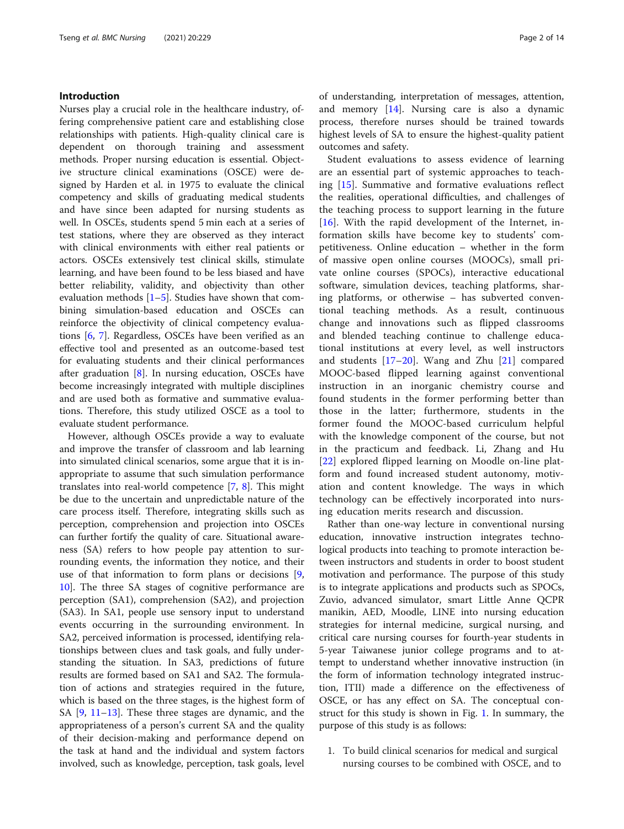## Introduction

Nurses play a crucial role in the healthcare industry, offering comprehensive patient care and establishing close relationships with patients. High-quality clinical care is dependent on thorough training and assessment methods. Proper nursing education is essential. Objective structure clinical examinations (OSCE) were designed by Harden et al. in 1975 to evaluate the clinical competency and skills of graduating medical students and have since been adapted for nursing students as well. In OSCEs, students spend 5 min each at a series of test stations, where they are observed as they interact with clinical environments with either real patients or actors. OSCEs extensively test clinical skills, stimulate learning, and have been found to be less biased and have better reliability, validity, and objectivity than other evaluation methods  $[1–5]$  $[1–5]$  $[1–5]$  $[1–5]$ . Studies have shown that combining simulation-based education and OSCEs can reinforce the objectivity of clinical competency evaluations [[6,](#page-12-0) [7](#page-12-0)]. Regardless, OSCEs have been verified as an effective tool and presented as an outcome-based test for evaluating students and their clinical performances after graduation [[8\]](#page-12-0). In nursing education, OSCEs have become increasingly integrated with multiple disciplines and are used both as formative and summative evaluations. Therefore, this study utilized OSCE as a tool to evaluate student performance.

However, although OSCEs provide a way to evaluate and improve the transfer of classroom and lab learning into simulated clinical scenarios, some argue that it is inappropriate to assume that such simulation performance translates into real-world competence [\[7](#page-12-0), [8\]](#page-12-0). This might be due to the uncertain and unpredictable nature of the care process itself. Therefore, integrating skills such as perception, comprehension and projection into OSCEs can further fortify the quality of care. Situational awareness (SA) refers to how people pay attention to surrounding events, the information they notice, and their use of that information to form plans or decisions [\[9](#page-12-0), [10\]](#page-12-0). The three SA stages of cognitive performance are perception (SA1), comprehension (SA2), and projection (SA3). In SA1, people use sensory input to understand events occurring in the surrounding environment. In SA2, perceived information is processed, identifying relationships between clues and task goals, and fully understanding the situation. In SA3, predictions of future results are formed based on SA1 and SA2. The formulation of actions and strategies required in the future, which is based on the three stages, is the highest form of SA [[9,](#page-12-0) [11](#page-12-0)–[13](#page-12-0)]. These three stages are dynamic, and the appropriateness of a person's current SA and the quality of their decision-making and performance depend on the task at hand and the individual and system factors involved, such as knowledge, perception, task goals, level of understanding, interpretation of messages, attention, and memory [[14\]](#page-12-0). Nursing care is also a dynamic process, therefore nurses should be trained towards highest levels of SA to ensure the highest-quality patient outcomes and safety.

Student evaluations to assess evidence of learning are an essential part of systemic approaches to teaching [[15\]](#page-12-0). Summative and formative evaluations reflect the realities, operational difficulties, and challenges of the teaching process to support learning in the future [[16\]](#page-12-0). With the rapid development of the Internet, information skills have become key to students' competitiveness. Online education – whether in the form of massive open online courses (MOOCs), small private online courses (SPOCs), interactive educational software, simulation devices, teaching platforms, sharing platforms, or otherwise – has subverted conventional teaching methods. As a result, continuous change and innovations such as flipped classrooms and blended teaching continue to challenge educational institutions at every level, as well instructors and students [[17](#page-12-0)–[20\]](#page-12-0). Wang and Zhu [\[21](#page-12-0)] compared MOOC-based flipped learning against conventional instruction in an inorganic chemistry course and found students in the former performing better than those in the latter; furthermore, students in the former found the MOOC-based curriculum helpful with the knowledge component of the course, but not in the practicum and feedback. Li, Zhang and Hu [[22\]](#page-12-0) explored flipped learning on Moodle on-line platform and found increased student autonomy, motivation and content knowledge. The ways in which technology can be effectively incorporated into nursing education merits research and discussion.

Rather than one-way lecture in conventional nursing education, innovative instruction integrates technological products into teaching to promote interaction between instructors and students in order to boost student motivation and performance. The purpose of this study is to integrate applications and products such as SPOCs, Zuvio, advanced simulator, smart Little Anne QCPR manikin, AED, Moodle, LINE into nursing education strategies for internal medicine, surgical nursing, and critical care nursing courses for fourth-year students in 5-year Taiwanese junior college programs and to attempt to understand whether innovative instruction (in the form of information technology integrated instruction, ITII) made a difference on the effectiveness of OSCE, or has any effect on SA. The conceptual construct for this study is shown in Fig. [1](#page-2-0). In summary, the purpose of this study is as follows:

1. To build clinical scenarios for medical and surgical nursing courses to be combined with OSCE, and to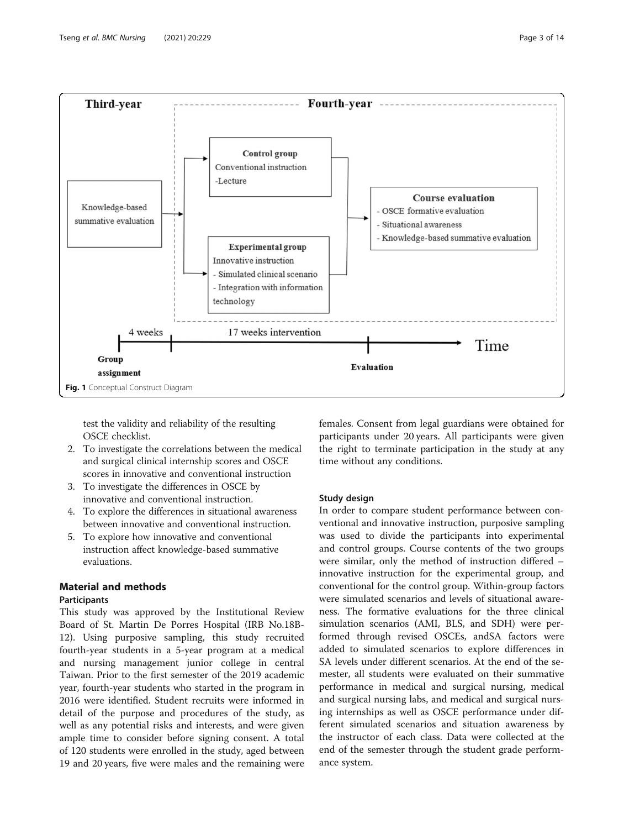<span id="page-2-0"></span>

test the validity and reliability of the resulting OSCE checklist.

- 2. To investigate the correlations between the medical and surgical clinical internship scores and OSCE scores in innovative and conventional instruction
- 3. To investigate the differences in OSCE by innovative and conventional instruction.
- 4. To explore the differences in situational awareness between innovative and conventional instruction.
- 5. To explore how innovative and conventional instruction affect knowledge-based summative evaluations.

# Material and methods

# Participants

This study was approved by the Institutional Review Board of St. Martin De Porres Hospital (IRB No.18B-12). Using purposive sampling, this study recruited fourth-year students in a 5-year program at a medical and nursing management junior college in central Taiwan. Prior to the first semester of the 2019 academic year, fourth-year students who started in the program in 2016 were identified. Student recruits were informed in detail of the purpose and procedures of the study, as well as any potential risks and interests, and were given ample time to consider before signing consent. A total of 120 students were enrolled in the study, aged between 19 and 20 years, five were males and the remaining were

females. Consent from legal guardians were obtained for participants under 20 years. All participants were given the right to terminate participation in the study at any time without any conditions.

### Study design

In order to compare student performance between conventional and innovative instruction, purposive sampling was used to divide the participants into experimental and control groups. Course contents of the two groups were similar, only the method of instruction differed – innovative instruction for the experimental group, and conventional for the control group. Within-group factors were simulated scenarios and levels of situational awareness. The formative evaluations for the three clinical simulation scenarios (AMI, BLS, and SDH) were performed through revised OSCEs, andSA factors were added to simulated scenarios to explore differences in SA levels under different scenarios. At the end of the semester, all students were evaluated on their summative performance in medical and surgical nursing, medical and surgical nursing labs, and medical and surgical nursing internships as well as OSCE performance under different simulated scenarios and situation awareness by the instructor of each class. Data were collected at the end of the semester through the student grade performance system.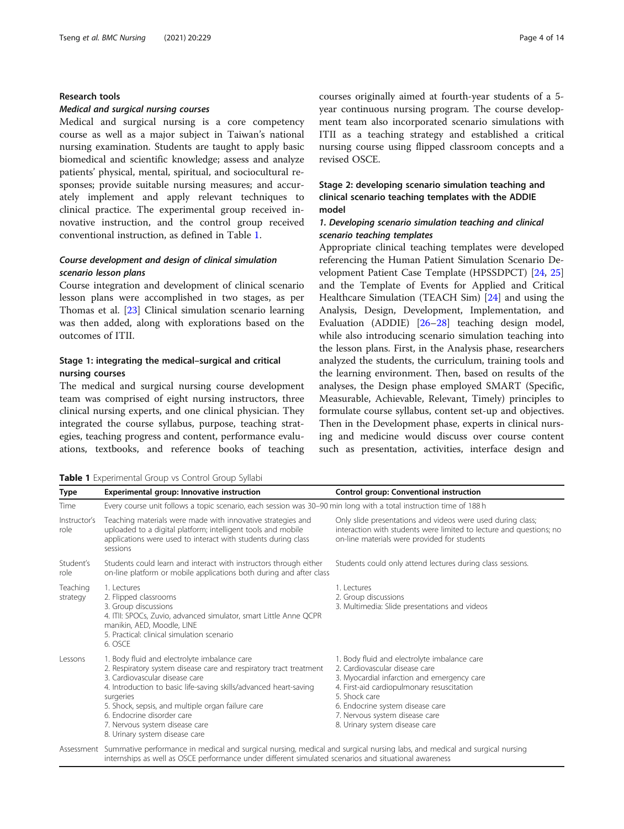#### Research tools

#### Medical and surgical nursing courses

Medical and surgical nursing is a core competency course as well as a major subject in Taiwan's national nursing examination. Students are taught to apply basic biomedical and scientific knowledge; assess and analyze patients' physical, mental, spiritual, and sociocultural responses; provide suitable nursing measures; and accurately implement and apply relevant techniques to clinical practice. The experimental group received innovative instruction, and the control group received conventional instruction, as defined in Table 1.

# Course development and design of clinical simulation scenario lesson plans

Course integration and development of clinical scenario lesson plans were accomplished in two stages, as per Thomas et al. [\[23](#page-12-0)] Clinical simulation scenario learning was then added, along with explorations based on the outcomes of ITII.

# Stage 1: integrating the medical–surgical and critical nursing courses

The medical and surgical nursing course development team was comprised of eight nursing instructors, three clinical nursing experts, and one clinical physician. They integrated the course syllabus, purpose, teaching strategies, teaching progress and content, performance evaluations, textbooks, and reference books of teaching

courses originally aimed at fourth-year students of a 5 year continuous nursing program. The course development team also incorporated scenario simulations with ITII as a teaching strategy and established a critical nursing course using flipped classroom concepts and a revised OSCE.

# Stage 2: developing scenario simulation teaching and clinical scenario teaching templates with the ADDIE model

# 1. Developing scenario simulation teaching and clinical scenario teaching templates

Appropriate clinical teaching templates were developed referencing the Human Patient Simulation Scenario Development Patient Case Template (HPSSDPCT) [\[24,](#page-12-0) [25](#page-12-0)] and the Template of Events for Applied and Critical Healthcare Simulation (TEACH Sim) [[24](#page-12-0)] and using the Analysis, Design, Development, Implementation, and Evaluation (ADDIE) [\[26](#page-12-0)–[28\]](#page-12-0) teaching design model, while also introducing scenario simulation teaching into the lesson plans. First, in the Analysis phase, researchers analyzed the students, the curriculum, training tools and the learning environment. Then, based on results of the analyses, the Design phase employed SMART (Specific, Measurable, Achievable, Relevant, Timely) principles to formulate course syllabus, content set-up and objectives. Then in the Development phase, experts in clinical nursing and medicine would discuss over course content such as presentation, activities, interface design and

Table 1 Experimental Group vs Control Group Syllabi

| Type                 | Experimental group: Innovative instruction                                                                                                                                                                                                                                                                                                                                                    | Control group: Conventional instruction                                                                                                                                                                                                                                                              |
|----------------------|-----------------------------------------------------------------------------------------------------------------------------------------------------------------------------------------------------------------------------------------------------------------------------------------------------------------------------------------------------------------------------------------------|------------------------------------------------------------------------------------------------------------------------------------------------------------------------------------------------------------------------------------------------------------------------------------------------------|
| Time                 | Every course unit follows a topic scenario, each session was 30-90 min long with a total instruction time of 188 h                                                                                                                                                                                                                                                                            |                                                                                                                                                                                                                                                                                                      |
| Instructor's<br>role | Teaching materials were made with innovative strategies and<br>uploaded to a digital platform; intelligent tools and mobile<br>applications were used to interact with students during class<br>sessions                                                                                                                                                                                      | Only slide presentations and videos were used during class;<br>interaction with students were limited to lecture and questions; no<br>on-line materials were provided for students                                                                                                                   |
| Student's<br>role    | Students could learn and interact with instructors through either<br>on-line platform or mobile applications both during and after class                                                                                                                                                                                                                                                      | Students could only attend lectures during class sessions.                                                                                                                                                                                                                                           |
| Teaching<br>strategy | 1. Lectures<br>2. Flipped classrooms<br>3. Group discussions<br>4. ITII: SPOCs, Zuvio, advanced simulator, smart Little Anne QCPR<br>manikin, AED, Moodle, LINE<br>5. Practical: clinical simulation scenario<br>6. OSCE                                                                                                                                                                      | 1. Lectures<br>2. Group discussions<br>3. Multimedia: Slide presentations and videos                                                                                                                                                                                                                 |
| Lessons              | 1. Body fluid and electrolyte imbalance care<br>2. Respiratory system disease care and respiratory tract treatment<br>3. Cardiovascular disease care<br>4. Introduction to basic life-saving skills/advanced heart-saving<br>surgeries<br>5. Shock, sepsis, and multiple organ failure care<br>6. Endocrine disorder care<br>7. Nervous system disease care<br>8. Urinary system disease care | 1. Body fluid and electrolyte imbalance care<br>2. Cardiovascular disease care<br>3. Myocardial infarction and emergency care<br>4. First-aid cardiopulmonary resuscitation<br>5. Shock care<br>6. Endocrine system disease care<br>7. Nervous system disease care<br>8. Urinary system disease care |
|                      | Assessment Summative performance in medical and surgical nursing, medical and surgical nursing labs, and medical and surgical nursing                                                                                                                                                                                                                                                         |                                                                                                                                                                                                                                                                                                      |

internships as well as OSCE performance under different simulated scenarios and situational awareness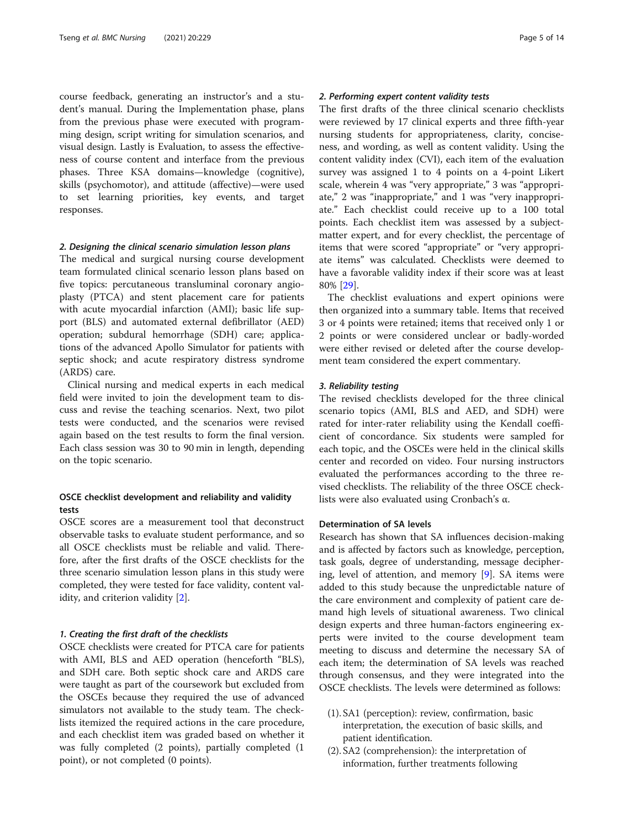course feedback, generating an instructor's and a student's manual. During the Implementation phase, plans from the previous phase were executed with programming design, script writing for simulation scenarios, and visual design. Lastly is Evaluation, to assess the effectiveness of course content and interface from the previous phases. Three KSA domains—knowledge (cognitive), skills (psychomotor), and attitude (affective)—were used to set learning priorities, key events, and target responses.

#### 2. Designing the clinical scenario simulation lesson plans

The medical and surgical nursing course development team formulated clinical scenario lesson plans based on five topics: percutaneous transluminal coronary angioplasty (PTCA) and stent placement care for patients with acute myocardial infarction (AMI); basic life support (BLS) and automated external defibrillator (AED) operation; subdural hemorrhage (SDH) care; applications of the advanced Apollo Simulator for patients with septic shock; and acute respiratory distress syndrome (ARDS) care.

Clinical nursing and medical experts in each medical field were invited to join the development team to discuss and revise the teaching scenarios. Next, two pilot tests were conducted, and the scenarios were revised again based on the test results to form the final version. Each class session was 30 to 90 min in length, depending on the topic scenario.

# OSCE checklist development and reliability and validity tests

OSCE scores are a measurement tool that deconstruct observable tasks to evaluate student performance, and so all OSCE checklists must be reliable and valid. Therefore, after the first drafts of the OSCE checklists for the three scenario simulation lesson plans in this study were completed, they were tested for face validity, content validity, and criterion validity [\[2\]](#page-12-0).

#### 1. Creating the first draft of the checklists

OSCE checklists were created for PTCA care for patients with AMI, BLS and AED operation (henceforth "BLS), and SDH care. Both septic shock care and ARDS care were taught as part of the coursework but excluded from the OSCEs because they required the use of advanced simulators not available to the study team. The checklists itemized the required actions in the care procedure, and each checklist item was graded based on whether it was fully completed (2 points), partially completed (1 point), or not completed (0 points).

# 2. Performing expert content validity tests

The first drafts of the three clinical scenario checklists were reviewed by 17 clinical experts and three fifth-year nursing students for appropriateness, clarity, conciseness, and wording, as well as content validity. Using the content validity index (CVI), each item of the evaluation survey was assigned 1 to 4 points on a 4-point Likert scale, wherein 4 was "very appropriate," 3 was "appropriate," 2 was "inappropriate," and 1 was "very inappropriate." Each checklist could receive up to a 100 total points. Each checklist item was assessed by a subjectmatter expert, and for every checklist, the percentage of items that were scored "appropriate" or "very appropriate items" was calculated. Checklists were deemed to have a favorable validity index if their score was at least 80% [[29](#page-12-0)].

The checklist evaluations and expert opinions were then organized into a summary table. Items that received 3 or 4 points were retained; items that received only 1 or 2 points or were considered unclear or badly-worded were either revised or deleted after the course development team considered the expert commentary.

#### 3. Reliability testing

The revised checklists developed for the three clinical scenario topics (AMI, BLS and AED, and SDH) were rated for inter-rater reliability using the Kendall coefficient of concordance. Six students were sampled for each topic, and the OSCEs were held in the clinical skills center and recorded on video. Four nursing instructors evaluated the performances according to the three revised checklists. The reliability of the three OSCE checklists were also evaluated using Cronbach's α.

#### Determination of SA levels

Research has shown that SA influences decision-making and is affected by factors such as knowledge, perception, task goals, degree of understanding, message deciphering, level of attention, and memory [\[9](#page-12-0)]. SA items were added to this study because the unpredictable nature of the care environment and complexity of patient care demand high levels of situational awareness. Two clinical design experts and three human-factors engineering experts were invited to the course development team meeting to discuss and determine the necessary SA of each item; the determination of SA levels was reached through consensus, and they were integrated into the OSCE checklists. The levels were determined as follows:

- (1). SA1 (perception): review, confirmation, basic interpretation, the execution of basic skills, and patient identification.
- (2). SA2 (comprehension): the interpretation of information, further treatments following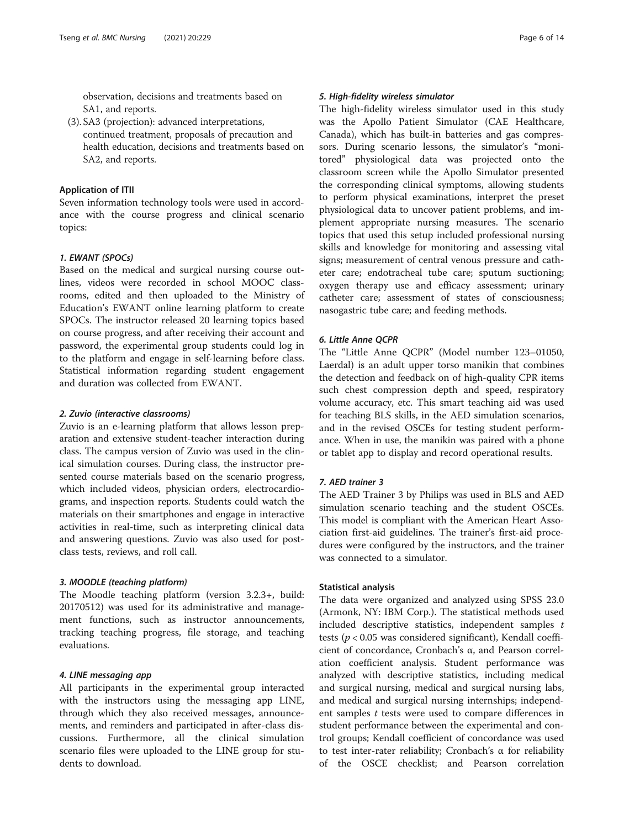observation, decisions and treatments based on SA1, and reports.

(3). SA3 (projection): advanced interpretations, continued treatment, proposals of precaution and health education, decisions and treatments based on SA2, and reports.

#### Application of ITII

Seven information technology tools were used in accordance with the course progress and clinical scenario topics:

# 1. EWANT (SPOCs)

Based on the medical and surgical nursing course outlines, videos were recorded in school MOOC classrooms, edited and then uploaded to the Ministry of Education's EWANT online learning platform to create SPOCs. The instructor released 20 learning topics based on course progress, and after receiving their account and password, the experimental group students could log in to the platform and engage in self-learning before class. Statistical information regarding student engagement and duration was collected from EWANT.

#### 2. Zuvio (interactive classrooms)

Zuvio is an e-learning platform that allows lesson preparation and extensive student-teacher interaction during class. The campus version of Zuvio was used in the clinical simulation courses. During class, the instructor presented course materials based on the scenario progress, which included videos, physician orders, electrocardiograms, and inspection reports. Students could watch the materials on their smartphones and engage in interactive activities in real-time, such as interpreting clinical data and answering questions. Zuvio was also used for postclass tests, reviews, and roll call.

#### 3. MOODLE (teaching platform)

The Moodle teaching platform (version 3.2.3+, build: 20170512) was used for its administrative and management functions, such as instructor announcements, tracking teaching progress, file storage, and teaching evaluations.

## 4. LINE messaging app

All participants in the experimental group interacted with the instructors using the messaging app LINE, through which they also received messages, announcements, and reminders and participated in after-class discussions. Furthermore, all the clinical simulation scenario files were uploaded to the LINE group for students to download.

# 5. High-fidelity wireless simulator

The high-fidelity wireless simulator used in this study was the Apollo Patient Simulator (CAE Healthcare, Canada), which has built-in batteries and gas compressors. During scenario lessons, the simulator's "monitored" physiological data was projected onto the classroom screen while the Apollo Simulator presented the corresponding clinical symptoms, allowing students to perform physical examinations, interpret the preset physiological data to uncover patient problems, and implement appropriate nursing measures. The scenario topics that used this setup included professional nursing skills and knowledge for monitoring and assessing vital signs; measurement of central venous pressure and catheter care; endotracheal tube care; sputum suctioning; oxygen therapy use and efficacy assessment; urinary catheter care; assessment of states of consciousness; nasogastric tube care; and feeding methods.

### 6. Little Anne QCPR

The "Little Anne QCPR" (Model number 123–01050, Laerdal) is an adult upper torso manikin that combines the detection and feedback on of high-quality CPR items such chest compression depth and speed, respiratory volume accuracy, etc. This smart teaching aid was used for teaching BLS skills, in the AED simulation scenarios, and in the revised OSCEs for testing student performance. When in use, the manikin was paired with a phone or tablet app to display and record operational results.

#### 7. AED trainer 3

The AED Trainer 3 by Philips was used in BLS and AED simulation scenario teaching and the student OSCEs. This model is compliant with the American Heart Association first-aid guidelines. The trainer's first-aid procedures were configured by the instructors, and the trainer was connected to a simulator.

#### Statistical analysis

The data were organized and analyzed using SPSS 23.0 (Armonk, NY: IBM Corp.). The statistical methods used included descriptive statistics, independent samples  $t$ tests ( $p < 0.05$  was considered significant), Kendall coefficient of concordance, Cronbach's α, and Pearson correlation coefficient analysis. Student performance was analyzed with descriptive statistics, including medical and surgical nursing, medical and surgical nursing labs, and medical and surgical nursing internships; independent samples  $t$  tests were used to compare differences in student performance between the experimental and control groups; Kendall coefficient of concordance was used to test inter-rater reliability; Cronbach's α for reliability of the OSCE checklist; and Pearson correlation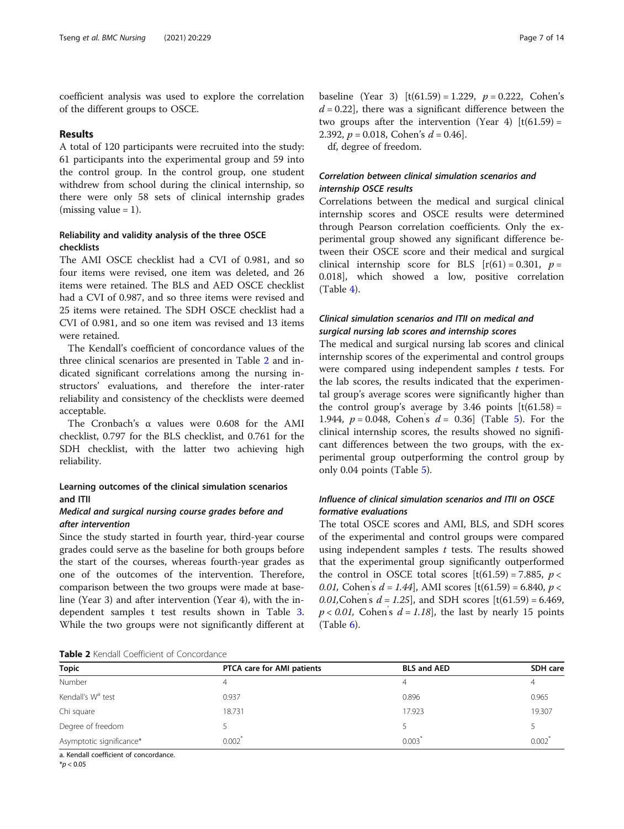coefficient analysis was used to explore the correlation of the different groups to OSCE.

#### Results

A total of 120 participants were recruited into the study: 61 participants into the experimental group and 59 into the control group. In the control group, one student withdrew from school during the clinical internship, so there were only 58 sets of clinical internship grades (missing value  $= 1$ ).

# Reliability and validity analysis of the three OSCE checklists

The AMI OSCE checklist had a CVI of 0.981, and so four items were revised, one item was deleted, and 26 items were retained. The BLS and AED OSCE checklist had a CVI of 0.987, and so three items were revised and 25 items were retained. The SDH OSCE checklist had a CVI of 0.981, and so one item was revised and 13 items were retained.

The Kendall's coefficient of concordance values of the three clinical scenarios are presented in Table 2 and indicated significant correlations among the nursing instructors' evaluations, and therefore the inter-rater reliability and consistency of the checklists were deemed acceptable.

The Cronbach's α values were 0.608 for the AMI checklist, 0.797 for the BLS checklist, and 0.761 for the SDH checklist, with the latter two achieving high reliability.

# Learning outcomes of the clinical simulation scenarios and ITII

# Medical and surgical nursing course grades before and after intervention

Since the study started in fourth year, third-year course grades could serve as the baseline for both groups before the start of the courses, whereas fourth-year grades as one of the outcomes of the intervention. Therefore, comparison between the two groups were made at baseline (Year 3) and after intervention (Year 4), with the independent samples t test results shown in Table [3](#page-7-0). While the two groups were not significantly different at

baseline (Year 3)  $[t(61.59) = 1.229, p = 0.222, Cohen's$  $d = 0.22$ , there was a significant difference between the two groups after the intervention (Year 4)  $[t(61.59) =$ 2.392,  $p = 0.018$ , Cohen's  $d = 0.46$ .

df, degree of freedom.

# Correlation between clinical simulation scenarios and internship OSCE results

Correlations between the medical and surgical clinical internship scores and OSCE results were determined through Pearson correlation coefficients. Only the experimental group showed any significant difference between their OSCE score and their medical and surgical clinical internship score for BLS  $[r(61) = 0.301, p =$ 0.018], which showed a low, positive correlation (Table [4\)](#page-7-0).

# Clinical simulation scenarios and ITII on medical and surgical nursing lab scores and internship scores

The medical and surgical nursing lab scores and clinical internship scores of the experimental and control groups were compared using independent samples  $t$  tests. For the lab scores, the results indicated that the experimental group's average scores were significantly higher than the control group's average by 3.46 points  $[t(61.58) =$ 1.944,  $p = 0.048$ , Cohen's  $d = 0.36$ ] (Table [5\)](#page-8-0). For the clinical internship scores, the results showed no significant differences between the two groups, with the experimental group outperforming the control group by only 0.04 points (Table [5](#page-8-0)).

# Influence of clinical simulation scenarios and ITII on OSCE formative evaluations

The total OSCE scores and AMI, BLS, and SDH scores of the experimental and control groups were compared using independent samples  $t$  tests. The results showed that the experimental group significantly outperformed the control in OSCE total scores  $[t(61.59) = 7.885, p <$ 0.01, Cohen's  $d = 1.44$ , AMI scores [t(61.59) = 6.840,  $p <$ 0.01, Cohen's  $d = 1.25$ , and SDH scores  $[t(61.59) = 6.469,$  $p < 0.01$ , Cohen's  $d = 1.18$ , the last by nearly 15 points  $(Table 6)$  $(Table 6)$ .

**Table 2** Kendall Coefficient of Concordance

| <b>Topic</b>                  | PTCA care for AMI patients | <b>BLS and AED</b> | SDH care |  |
|-------------------------------|----------------------------|--------------------|----------|--|
| Number                        | 4                          |                    |          |  |
| Kendall's W <sup>a</sup> test | 0.937                      | 0.896              | 0.965    |  |
| Chi square                    | 18.731                     | 17.923             | 19.307   |  |
| Degree of freedom             |                            |                    |          |  |
| Asymptotic significance*      | 0.002                      | 0.003              | 0.002    |  |

a. Kendall coefficient of concordance.

 $*$ *p* < 0.05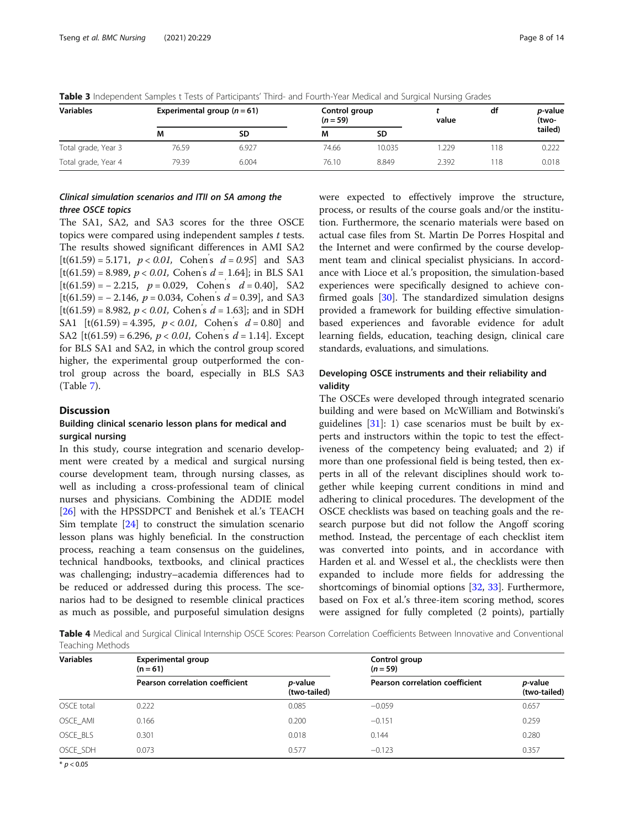| <b>Variables</b>    |       | Experimental group $(n=61)$ |       | Control group<br>$(n = 59)$<br>value |       | df  | <i>p</i> -value<br>(two- |
|---------------------|-------|-----------------------------|-------|--------------------------------------|-------|-----|--------------------------|
|                     | М     | SD                          | M     | SD                                   |       |     | tailed)                  |
| Total grade, Year 3 | 76.59 | 6.927                       | 74.66 | 10.035                               | .229  | 118 | 0.222                    |
| Total grade, Year 4 | 79.39 | 6.004                       | 76.10 | 8.849                                | 2.392 | 118 | 0.018                    |

<span id="page-7-0"></span>Table 3 Independent Samples t Tests of Participants' Third- and Fourth-Year Medical and Surgical Nursing Grades

# Clinical simulation scenarios and ITII on SA among the three OSCE topics

The SA1, SA2, and SA3 scores for the three OSCE topics were compared using independent samples t tests. The results showed significant differences in AMI SA2  $[t(61.59) = 5.171, p < 0.01, \text{ Cohen's } d = 0.95]$  and SA3  $[t(61.59) = 8.989, p < 0.01,$  Cohen's  $d = 1.64$ ; in BLS SA1  $[t(61.59) = -2.215, p = 0.029, Cohen's d = 0.40], SA2$  $[t(61.59) = -2.146, p = 0.034, Cohen's d = 0.39],$  and SA3  $[t(61.59) = 8.982, p < 0.01,$  Cohen's  $d = 1.63$ ; and in SDH SA1 [t(61.59) = 4.395,  $p < 0.01$ , Cohen's  $d = 0.80$ ] and SA2 [t(61.59) = 6.296,  $p < 0.01$ , Cohen's  $d = 1.14$ ]. Except for BLS SA1 and SA2, in which the control group scored higher, the experimental group outperformed the control group across the board, especially in BLS SA3 (Table [7\)](#page-9-0).

# **Discussion**

# Building clinical scenario lesson plans for medical and surgical nursing

In this study, course integration and scenario development were created by a medical and surgical nursing course development team, through nursing classes, as well as including a cross-professional team of clinical nurses and physicians. Combining the ADDIE model [[26\]](#page-12-0) with the HPSSDPCT and Benishek et al.'s TEACH Sim template [[24](#page-12-0)] to construct the simulation scenario lesson plans was highly beneficial. In the construction process, reaching a team consensus on the guidelines, technical handbooks, textbooks, and clinical practices was challenging; industry–academia differences had to be reduced or addressed during this process. The scenarios had to be designed to resemble clinical practices as much as possible, and purposeful simulation designs were expected to effectively improve the structure, process, or results of the course goals and/or the institution. Furthermore, the scenario materials were based on actual case files from St. Martin De Porres Hospital and the Internet and were confirmed by the course development team and clinical specialist physicians. In accordance with Lioce et al.'s proposition, the simulation-based experiences were specifically designed to achieve confirmed goals [\[30](#page-12-0)]. The standardized simulation designs provided a framework for building effective simulationbased experiences and favorable evidence for adult learning fields, education, teaching design, clinical care standards, evaluations, and simulations.

# Developing OSCE instruments and their reliability and validity

The OSCEs were developed through integrated scenario building and were based on McWilliam and Botwinski's guidelines  $[31]$  $[31]$ : 1) case scenarios must be built by experts and instructors within the topic to test the effectiveness of the competency being evaluated; and 2) if more than one professional field is being tested, then experts in all of the relevant disciplines should work together while keeping current conditions in mind and adhering to clinical procedures. The development of the OSCE checklists was based on teaching goals and the research purpose but did not follow the Angoff scoring method. Instead, the percentage of each checklist item was converted into points, and in accordance with Harden et al. and Wessel et al., the checklists were then expanded to include more fields for addressing the shortcomings of binomial options [[32](#page-12-0), [33\]](#page-12-0). Furthermore, based on Fox et al.'s three-item scoring method, scores were assigned for fully completed (2 points), partially

Table 4 Medical and Surgical Clinical Internship OSCE Scores: Pearson Correlation Coefficients Between Innovative and Conventional Teaching Methods

| <b>Variables</b> | <b>Experimental group</b><br>$(n = 61)$ |                                 | Control group<br>$(n = 59)$     |                                 |  |  |
|------------------|-----------------------------------------|---------------------------------|---------------------------------|---------------------------------|--|--|
|                  | Pearson correlation coefficient         | <i>p</i> -value<br>(two-tailed) | Pearson correlation coefficient | <i>p</i> -value<br>(two-tailed) |  |  |
| OSCE total       | 0.222                                   | 0.085                           | $-0.059$                        | 0.657                           |  |  |
| OSCE AMI         | 0.166                                   | 0.200                           | $-0.151$                        | 0.259                           |  |  |
| OSCE BLS         | 0.301                                   | 0.018                           | 0.144                           | 0.280                           |  |  |
| OSCE SDH         | 0.073                                   | 0.577                           | $-0.123$                        | 0.357                           |  |  |

 $*$   $p < 0.05$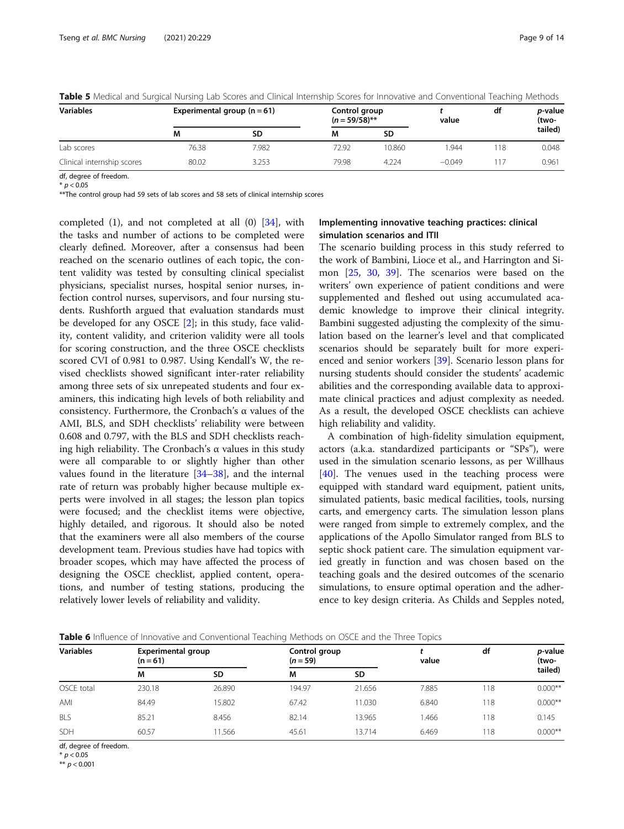| <b>Variables</b>           | Experimental group $(n = 61)$ |       | Control group<br>$(n = 59/58)$ **<br>value |        |          | df | <i>p</i> -value<br>(two- |
|----------------------------|-------------------------------|-------|--------------------------------------------|--------|----------|----|--------------------------|
|                            | M                             | SD    | М                                          | SD     |          |    | tailed)                  |
| Lab scores                 | 76.38                         | 7.982 | 72.92                                      | 10.860 | .944     | 18 | 0.048                    |
| Clinical internship scores | 80.02                         | 3.253 | 79.98                                      | 4.224  | $-0.049$ |    | 0.961                    |

<span id="page-8-0"></span>Table 5 Medical and Surgical Nursing Lab Scores and Clinical Internship Scores for Innovative and Conventional Teaching Methods

df, degree of freedom.  $* p < 0.05$ 

\*\*The control group had 59 sets of lab scores and 58 sets of clinical internship scores

completed  $(1)$ , and not completed at all  $(0)$   $[34]$  $[34]$ , with the tasks and number of actions to be completed were clearly defined. Moreover, after a consensus had been reached on the scenario outlines of each topic, the content validity was tested by consulting clinical specialist physicians, specialist nurses, hospital senior nurses, infection control nurses, supervisors, and four nursing students. Rushforth argued that evaluation standards must be developed for any OSCE [[2\]](#page-12-0); in this study, face validity, content validity, and criterion validity were all tools for scoring construction, and the three OSCE checklists scored CVI of 0.981 to 0.987. Using Kendall's W, the revised checklists showed significant inter-rater reliability among three sets of six unrepeated students and four examiners, this indicating high levels of both reliability and consistency. Furthermore, the Cronbach's α values of the AMI, BLS, and SDH checklists' reliability were between 0.608 and 0.797, with the BLS and SDH checklists reaching high reliability. The Cronbach's α values in this study were all comparable to or slightly higher than other values found in the literature [[34](#page-12-0)–[38](#page-12-0)], and the internal rate of return was probably higher because multiple experts were involved in all stages; the lesson plan topics were focused; and the checklist items were objective, highly detailed, and rigorous. It should also be noted that the examiners were all also members of the course development team. Previous studies have had topics with broader scopes, which may have affected the process of designing the OSCE checklist, applied content, operations, and number of testing stations, producing the relatively lower levels of reliability and validity.

# Implementing innovative teaching practices: clinical simulation scenarios and ITII

The scenario building process in this study referred to the work of Bambini, Lioce et al., and Harrington and Simon [[25](#page-12-0), [30](#page-12-0), [39](#page-12-0)]. The scenarios were based on the writers' own experience of patient conditions and were supplemented and fleshed out using accumulated academic knowledge to improve their clinical integrity. Bambini suggested adjusting the complexity of the simulation based on the learner's level and that complicated scenarios should be separately built for more experienced and senior workers [\[39](#page-12-0)]. Scenario lesson plans for nursing students should consider the students' academic abilities and the corresponding available data to approximate clinical practices and adjust complexity as needed. As a result, the developed OSCE checklists can achieve high reliability and validity.

A combination of high-fidelity simulation equipment, actors (a.k.a. standardized participants or "SPs"), were used in the simulation scenario lessons, as per Willhaus [[40\]](#page-12-0). The venues used in the teaching process were equipped with standard ward equipment, patient units, simulated patients, basic medical facilities, tools, nursing carts, and emergency carts. The simulation lesson plans were ranged from simple to extremely complex, and the applications of the Apollo Simulator ranged from BLS to septic shock patient care. The simulation equipment varied greatly in function and was chosen based on the teaching goals and the desired outcomes of the scenario simulations, to ensure optimal operation and the adherence to key design criteria. As Childs and Sepples noted,

|  | Table 6 Influence of Innovative and Conventional Teaching Methods on OSCE and the Three Topics |
|--|------------------------------------------------------------------------------------------------|
|--|------------------------------------------------------------------------------------------------|

|                  |                                         |           | $\tilde{\phantom{a}}$       |           |       |     |                          |
|------------------|-----------------------------------------|-----------|-----------------------------|-----------|-------|-----|--------------------------|
| <b>Variables</b> | <b>Experimental group</b><br>$(n = 61)$ |           | Control group<br>$(n = 59)$ |           | value | df  | <i>p</i> -value<br>(two- |
|                  | M                                       | <b>SD</b> | M                           | <b>SD</b> |       |     | tailed)                  |
| OSCE total       | 230.18                                  | 26.890    | 194.97                      | 21.656    | 7.885 | 118 | $0.000**$                |
| AMI              | 84.49                                   | 15.802    | 67.42                       | 11.030    | 6.840 | 118 | $0.000**$                |
| <b>BLS</b>       | 85.21                                   | 8.456     | 82.14                       | 13.965    | .466  | 118 | 0.145                    |
| SDH              | 60.57                                   | 11.566    | 45.61                       | 13.714    | 6.469 | 118 | $0.000**$                |

df, degree of freedom.<br>\*  $p < 0.05$ 

\* p < 0.05

\*\*  $p < 0.001$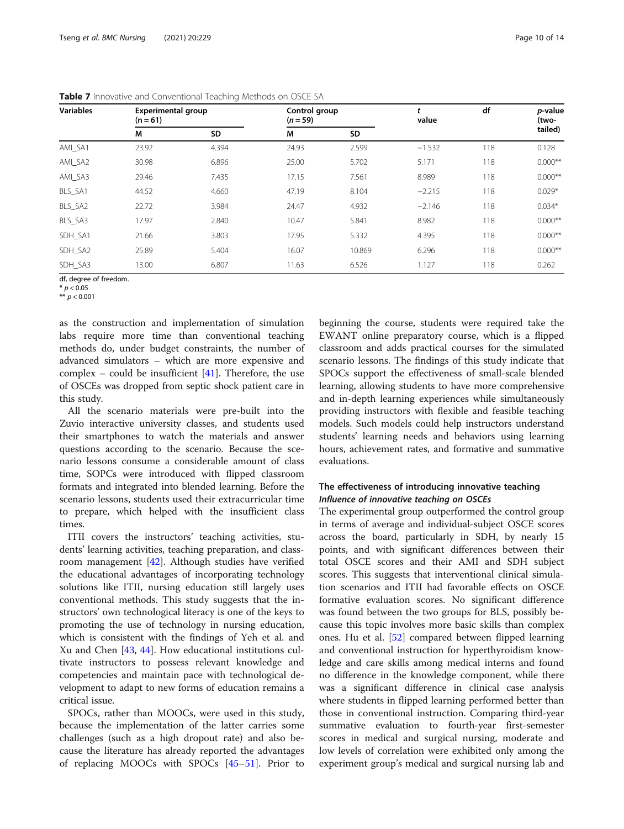| <b>Variables</b> | <b>Experimental group</b><br>$(n = 61)$ |           | Control group<br>$(n = 59)$ |        | value    | df  | p-value<br>(two- |
|------------------|-----------------------------------------|-----------|-----------------------------|--------|----------|-----|------------------|
|                  | М                                       | <b>SD</b> | M                           | SD     |          |     | tailed)          |
| AMI_SA1          | 23.92                                   | 4.394     | 24.93                       | 2.599  | $-1.532$ | 118 | 0.128            |
| AMI_SA2          | 30.98                                   | 6.896     | 25.00                       | 5.702  | 5.171    | 118 | $0.000**$        |
| AMI_SA3          | 29.46                                   | 7.435     | 17.15                       | 7.561  | 8.989    | 118 | $0.000**$        |
| BLS_SA1          | 44.52                                   | 4.660     | 47.19                       | 8.104  | $-2.215$ | 118 | $0.029*$         |
| BLS_SA2          | 22.72                                   | 3.984     | 24.47                       | 4.932  | $-2.146$ | 118 | $0.034*$         |
| BLS_SA3          | 17.97                                   | 2.840     | 10.47                       | 5.841  | 8.982    | 118 | $0.000**$        |
| SDH SA1          | 21.66                                   | 3.803     | 17.95                       | 5.332  | 4.395    | 118 | $0.000**$        |
| SDH_SA2          | 25.89                                   | 5.404     | 16.07                       | 10.869 | 6.296    | 118 | $0.000**$        |
| SDH SA3          | 13.00                                   | 6.807     | 11.63                       | 6.526  | 1.127    | 118 | 0.262            |

<span id="page-9-0"></span>Table 7 Innovative and Conventional Teaching Methods on OSCE SA

df, degree of freedom.

\* *p* < 0.05<br>\*\* n < 0.0

\*\*  $p < 0.001$ 

as the construction and implementation of simulation labs require more time than conventional teaching methods do, under budget constraints, the number of advanced simulators – which are more expensive and complex – could be insufficient  $[41]$  $[41]$ . Therefore, the use of OSCEs was dropped from septic shock patient care in this study.

All the scenario materials were pre-built into the Zuvio interactive university classes, and students used their smartphones to watch the materials and answer questions according to the scenario. Because the scenario lessons consume a considerable amount of class time, SOPCs were introduced with flipped classroom formats and integrated into blended learning. Before the scenario lessons, students used their extracurricular time to prepare, which helped with the insufficient class times.

ITII covers the instructors' teaching activities, students' learning activities, teaching preparation, and classroom management [\[42\]](#page-12-0). Although studies have verified the educational advantages of incorporating technology solutions like ITII, nursing education still largely uses conventional methods. This study suggests that the instructors' own technological literacy is one of the keys to promoting the use of technology in nursing education, which is consistent with the findings of Yeh et al. and Xu and Chen [[43](#page-12-0), [44\]](#page-12-0). How educational institutions cultivate instructors to possess relevant knowledge and competencies and maintain pace with technological development to adapt to new forms of education remains a critical issue.

SPOCs, rather than MOOCs, were used in this study, because the implementation of the latter carries some challenges (such as a high dropout rate) and also because the literature has already reported the advantages of replacing MOOCs with SPOCs [\[45](#page-12-0)–[51\]](#page-12-0). Prior to

beginning the course, students were required take the EWANT online preparatory course, which is a flipped classroom and adds practical courses for the simulated scenario lessons. The findings of this study indicate that SPOCs support the effectiveness of small-scale blended learning, allowing students to have more comprehensive and in-depth learning experiences while simultaneously providing instructors with flexible and feasible teaching models. Such models could help instructors understand students' learning needs and behaviors using learning hours, achievement rates, and formative and summative evaluations.

# The effectiveness of introducing innovative teaching Influence of innovative teaching on OSCEs

The experimental group outperformed the control group in terms of average and individual-subject OSCE scores across the board, particularly in SDH, by nearly 15 points, and with significant differences between their total OSCE scores and their AMI and SDH subject scores. This suggests that interventional clinical simulation scenarios and ITII had favorable effects on OSCE formative evaluation scores. No significant difference was found between the two groups for BLS, possibly because this topic involves more basic skills than complex ones. Hu et al. [\[52](#page-13-0)] compared between flipped learning and conventional instruction for hyperthyroidism knowledge and care skills among medical interns and found no difference in the knowledge component, while there was a significant difference in clinical case analysis where students in flipped learning performed better than those in conventional instruction. Comparing third-year summative evaluation to fourth-year first-semester scores in medical and surgical nursing, moderate and low levels of correlation were exhibited only among the experiment group's medical and surgical nursing lab and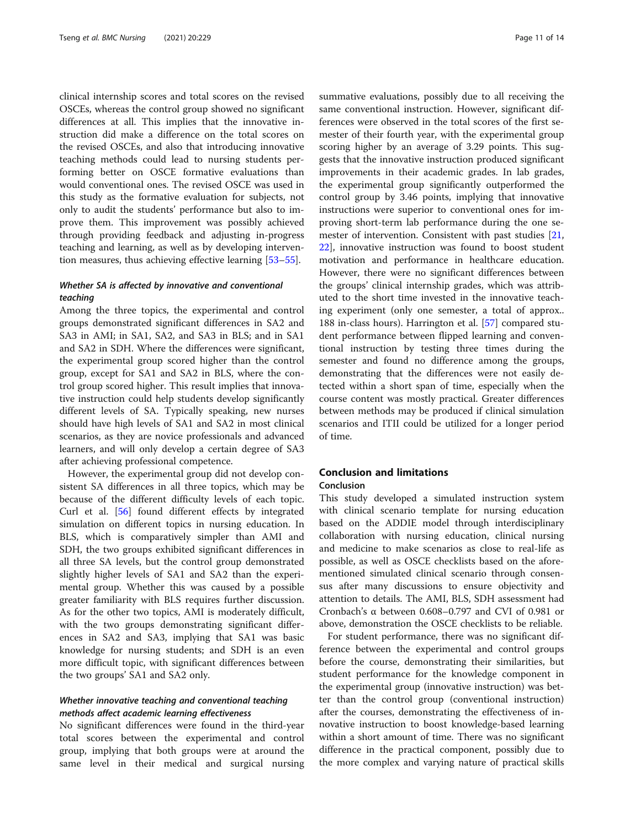clinical internship scores and total scores on the revised OSCEs, whereas the control group showed no significant differences at all. This implies that the innovative instruction did make a difference on the total scores on the revised OSCEs, and also that introducing innovative teaching methods could lead to nursing students performing better on OSCE formative evaluations than would conventional ones. The revised OSCE was used in this study as the formative evaluation for subjects, not only to audit the students' performance but also to improve them. This improvement was possibly achieved through providing feedback and adjusting in-progress teaching and learning, as well as by developing intervention measures, thus achieving effective learning [\[53](#page-13-0)–[55\]](#page-13-0).

# Whether SA is affected by innovative and conventional teaching

Among the three topics, the experimental and control groups demonstrated significant differences in SA2 and SA3 in AMI; in SA1, SA2, and SA3 in BLS; and in SA1 and SA2 in SDH. Where the differences were significant, the experimental group scored higher than the control group, except for SA1 and SA2 in BLS, where the control group scored higher. This result implies that innovative instruction could help students develop significantly different levels of SA. Typically speaking, new nurses should have high levels of SA1 and SA2 in most clinical scenarios, as they are novice professionals and advanced learners, and will only develop a certain degree of SA3 after achieving professional competence.

However, the experimental group did not develop consistent SA differences in all three topics, which may be because of the different difficulty levels of each topic. Curl et al. [[56\]](#page-13-0) found different effects by integrated simulation on different topics in nursing education. In BLS, which is comparatively simpler than AMI and SDH, the two groups exhibited significant differences in all three SA levels, but the control group demonstrated slightly higher levels of SA1 and SA2 than the experimental group. Whether this was caused by a possible greater familiarity with BLS requires further discussion. As for the other two topics, AMI is moderately difficult, with the two groups demonstrating significant differences in SA2 and SA3, implying that SA1 was basic knowledge for nursing students; and SDH is an even more difficult topic, with significant differences between the two groups' SA1 and SA2 only.

# Whether innovative teaching and conventional teaching methods affect academic learning effectiveness

No significant differences were found in the third-year total scores between the experimental and control group, implying that both groups were at around the same level in their medical and surgical nursing summative evaluations, possibly due to all receiving the same conventional instruction. However, significant differences were observed in the total scores of the first semester of their fourth year, with the experimental group scoring higher by an average of 3.29 points. This suggests that the innovative instruction produced significant improvements in their academic grades. In lab grades, the experimental group significantly outperformed the control group by 3.46 points, implying that innovative instructions were superior to conventional ones for improving short-term lab performance during the one semester of intervention. Consistent with past studies [[21](#page-12-0), [22\]](#page-12-0), innovative instruction was found to boost student motivation and performance in healthcare education. However, there were no significant differences between the groups' clinical internship grades, which was attributed to the short time invested in the innovative teaching experiment (only one semester, a total of approx.. 188 in-class hours). Harrington et al. [[57\]](#page-13-0) compared student performance between flipped learning and conventional instruction by testing three times during the semester and found no difference among the groups, demonstrating that the differences were not easily detected within a short span of time, especially when the course content was mostly practical. Greater differences between methods may be produced if clinical simulation scenarios and ITII could be utilized for a longer period of time.

# Conclusion and limitations

# Conclusion

This study developed a simulated instruction system with clinical scenario template for nursing education based on the ADDIE model through interdisciplinary collaboration with nursing education, clinical nursing and medicine to make scenarios as close to real-life as possible, as well as OSCE checklists based on the aforementioned simulated clinical scenario through consensus after many discussions to ensure objectivity and attention to details. The AMI, BLS, SDH assessment had Cronbach's α between 0.608–0.797 and CVI of 0.981 or above, demonstration the OSCE checklists to be reliable.

For student performance, there was no significant difference between the experimental and control groups before the course, demonstrating their similarities, but student performance for the knowledge component in the experimental group (innovative instruction) was better than the control group (conventional instruction) after the courses, demonstrating the effectiveness of innovative instruction to boost knowledge-based learning within a short amount of time. There was no significant difference in the practical component, possibly due to the more complex and varying nature of practical skills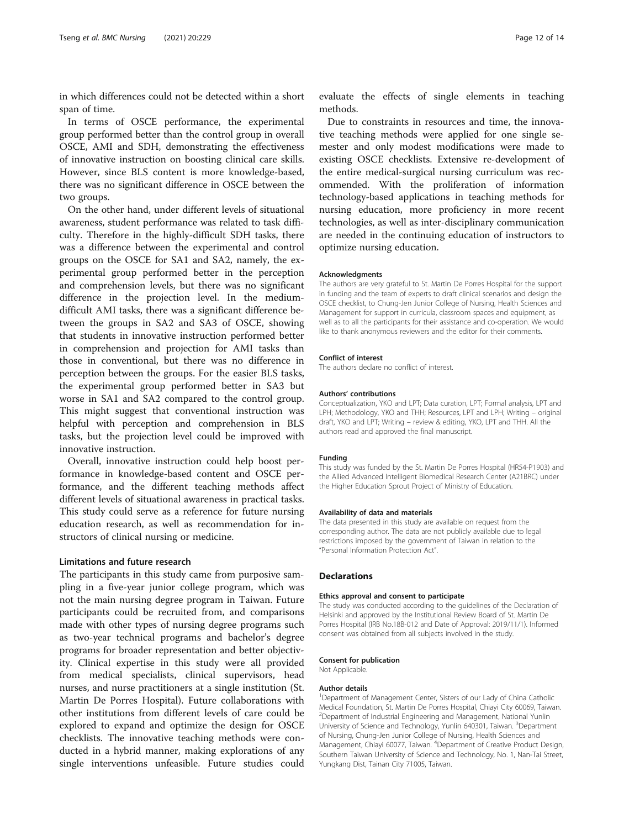in which differences could not be detected within a short span of time.

In terms of OSCE performance, the experimental group performed better than the control group in overall OSCE, AMI and SDH, demonstrating the effectiveness of innovative instruction on boosting clinical care skills. However, since BLS content is more knowledge-based, there was no significant difference in OSCE between the two groups.

On the other hand, under different levels of situational awareness, student performance was related to task difficulty. Therefore in the highly-difficult SDH tasks, there was a difference between the experimental and control groups on the OSCE for SA1 and SA2, namely, the experimental group performed better in the perception and comprehension levels, but there was no significant difference in the projection level. In the mediumdifficult AMI tasks, there was a significant difference between the groups in SA2 and SA3 of OSCE, showing that students in innovative instruction performed better in comprehension and projection for AMI tasks than those in conventional, but there was no difference in perception between the groups. For the easier BLS tasks, the experimental group performed better in SA3 but worse in SA1 and SA2 compared to the control group. This might suggest that conventional instruction was helpful with perception and comprehension in BLS tasks, but the projection level could be improved with innovative instruction.

Overall, innovative instruction could help boost performance in knowledge-based content and OSCE performance, and the different teaching methods affect different levels of situational awareness in practical tasks. This study could serve as a reference for future nursing education research, as well as recommendation for instructors of clinical nursing or medicine.

# Limitations and future research

The participants in this study came from purposive sampling in a five-year junior college program, which was not the main nursing degree program in Taiwan. Future participants could be recruited from, and comparisons made with other types of nursing degree programs such as two-year technical programs and bachelor's degree programs for broader representation and better objectivity. Clinical expertise in this study were all provided from medical specialists, clinical supervisors, head nurses, and nurse practitioners at a single institution (St. Martin De Porres Hospital). Future collaborations with other institutions from different levels of care could be explored to expand and optimize the design for OSCE checklists. The innovative teaching methods were conducted in a hybrid manner, making explorations of any single interventions unfeasible. Future studies could

evaluate the effects of single elements in teaching methods.

Due to constraints in resources and time, the innovative teaching methods were applied for one single semester and only modest modifications were made to existing OSCE checklists. Extensive re-development of the entire medical-surgical nursing curriculum was recommended. With the proliferation of information technology-based applications in teaching methods for nursing education, more proficiency in more recent technologies, as well as inter-disciplinary communication are needed in the continuing education of instructors to optimize nursing education.

#### Acknowledgments

The authors are very grateful to St. Martin De Porres Hospital for the support in funding and the team of experts to draft clinical scenarios and design the OSCE checklist, to Chung-Jen Junior College of Nursing, Health Sciences and Management for support in curricula, classroom spaces and equipment, as well as to all the participants for their assistance and co-operation. We would like to thank anonymous reviewers and the editor for their comments.

#### Conflict of interest

The authors declare no conflict of interest.

#### Authors' contributions

Conceptualization, YKO and LPT; Data curation, LPT; Formal analysis, LPT and LPH; Methodology, YKO and THH; Resources, LPT and LPH; Writing – original draft, YKO and LPT; Writing – review & editing, YKO, LPT and THH. All the authors read and approved the final manuscript.

#### Funding

This study was funded by the St. Martin De Porres Hospital (HR54-P1903) and the Allied Advanced Intelligent Biomedical Research Center (A21BRC) under the Higher Education Sprout Project of Ministry of Education.

#### Availability of data and materials

The data presented in this study are available on request from the corresponding author. The data are not publicly available due to legal restrictions imposed by the government of Taiwan in relation to the "Personal Information Protection Act".

#### Declarations

#### Ethics approval and consent to participate

The study was conducted according to the guidelines of the Declaration of Helsinki and approved by the Institutional Review Board of St. Martin De Porres Hospital (IRB No.18B-012 and Date of Approval: 2019/11/1). Informed consent was obtained from all subjects involved in the study.

#### Consent for publication

Not Applicable.

#### Author details

<sup>1</sup>Department of Management Center, Sisters of our Lady of China Catholic Medical Foundation, St. Martin De Porres Hospital, Chiayi City 60069, Taiwan. 2 Department of Industrial Engineering and Management, National Yunlin University of Science and Technology, Yunlin 640301, Taiwan. <sup>3</sup>Department of Nursing, Chung-Jen Junior College of Nursing, Health Sciences and Management, Chiayi 60077, Taiwan. <sup>4</sup>Department of Creative Product Design Southern Taiwan University of Science and Technology, No. 1, Nan-Tai Street, Yungkang Dist, Tainan City 71005, Taiwan.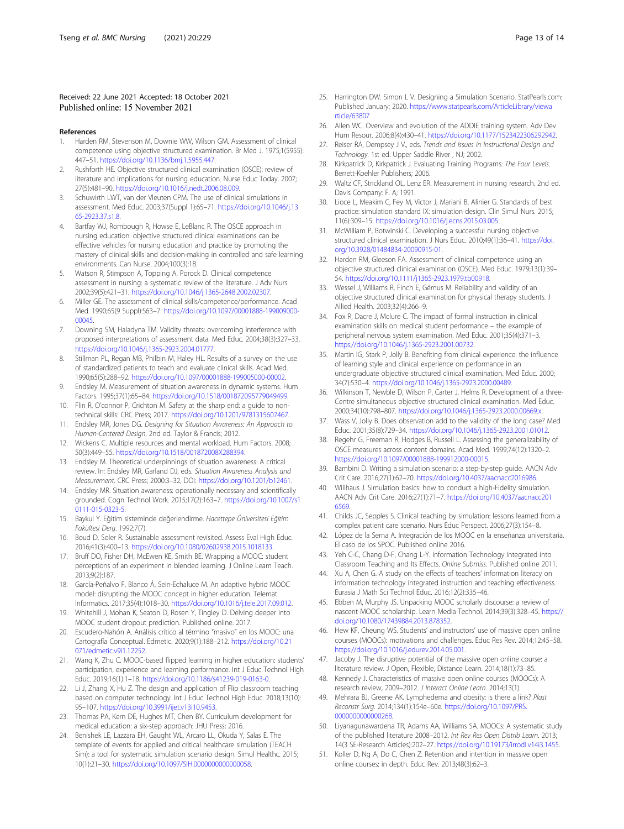#### <span id="page-12-0"></span>Received: 22 June 2021 Accepted: 18 October 2021 Published online: 15 November 2021

#### References

- 1. Harden RM, Stevenson M, Downie WW, Wilson GM. Assessment of clinical competence using objective structured examination. Br Med J. 1975;1(5955): 447–51. [https://doi.org/10.1136/bmj.1.5955.447.](https://doi.org/10.1136/bmj.1.5955.447)
- 2. Rushforth HE. Objective structured clinical examination (OSCE): review of literature and implications for nursing education. Nurse Educ Today. 2007; 27(5):481–90. <https://doi.org/10.1016/j.nedt.2006.08.009>.
- 3. Schuwirth LWT, van der Vleuten CPM. The use of clinical simulations in assessment. Med Educ. 2003;37(Suppl 1):65–71. [https://doi.org/10.1046/j.13](https://doi.org/10.1046/j.1365-2923.37.s1.8) [65-2923.37.s1.8](https://doi.org/10.1046/j.1365-2923.37.s1.8).
- 4. Bartfay WJ, Rombough R, Howse E, LeBlanc R. The OSCE approach in nursing education: objective structured clinical examinations can be effective vehicles for nursing education and practice by promoting the mastery of clinical skills and decision-making in controlled and safe learning environments. Can Nurse. 2004;100(3):18.
- 5. Watson R, Stimpson A, Topping A, Porock D. Clinical competence assessment in nursing: a systematic review of the literature. J Adv Nurs. 2002;39(5):421–31. [https://doi.org/10.1046/j.1365-2648.2002.02307.](https://doi.org/10.1046/j.1365-2648.2002.02307)
- 6. Miller GE. The assessment of clinical skills/competence/performance. Acad Med. 1990;65(9 Suppl):S63–7. [https://doi.org/10.1097/00001888-199009000-](https://doi.org/10.1097/00001888-199009000-00045) [00045.](https://doi.org/10.1097/00001888-199009000-00045)
- 7. Downing SM, Haladyna TM. Validity threats: overcoming interference with proposed interpretations of assessment data. Med Educ. 2004;38(3):327–33. <https://doi.org/10.1046/j.1365-2923.2004.01777>.
- Stillman PL, Regan MB, Philbin M, Haley HL. Results of a survey on the use of standardized patients to teach and evaluate clinical skills. Acad Med. 1990;65(5):288–92. <https://doi.org/10.1097/00001888-199005000-00002>.
- 9. Endsley M. Measurement of situation awareness in dynamic systems. Hum Factors. 1995;37(1):65–84. <https://doi.org/10.1518/001872095779049499>.
- 10. Flin R, O'connor P, Crichton M. Safety at the sharp end: a guide to nontechnical skills: CRC Press; 2017. <https://doi.org/10.1201/9781315607467>.
- 11. Endsley MR, Jones DG. Designing for Situation Awareness: An Approach to Human-Centered Design. 2nd ed. Taylor & Francis; 2012.
- 12. Wickens C. Multiple resources and mental workload. Hum Factors. 2008; 50(3):449–55. <https://doi.org/10.1518/001872008X288394>.
- 13. Endsley M. Theoretical underpinnings of situation awareness: A critical review. In: Endsley MR, Garland DJ, eds. Situation Awareness Analysis and Measurement. CRC Press; 2000:3–32, DOI: [https://doi.org/10.1201/b12461.](https://doi.org/10.1201/b12461)
- 14. Endsley MR. Situation awareness: operationally necessary and scientifically grounded. Cogn Technol Work. 2015;17(2):163–7. [https://doi.org/10.1007/s1](https://doi.org/10.1007/s10111-015-0323-5) [0111-015-0323-5.](https://doi.org/10.1007/s10111-015-0323-5)
- 15. Baykul Y. Eğitim sisteminde değerlendirme. Hacettepe Üniversitesi Eğitim Fakültesi Derg. 1992;7(7).
- 16. Boud D, Soler R. Sustainable assessment revisited. Assess Eval High Educ. 2016;41(3):400–13. <https://doi.org/10.1080/02602938.2015.1018133>.
- 17. Bruff DO, Fisher DH, McEwen KE, Smith BE. Wrapping a MOOC: student perceptions of an experiment in blended learning. J Online Learn Teach. 2013;9(2):187.
- 18. García-Peñalvo F, Blanco Á, Sein-Echaluce M. An adaptive hybrid MOOC model: disrupting the MOOC concept in higher education. Telemat Informatics. 2017;35(4):1018–30. <https://doi.org/10.1016/j.tele.2017.09.012>.
- 19. Whitehill J, Mohan K, Seaton D, Rosen Y, Tingley D. Delving deeper into MOOC student dropout prediction. Published online. 2017.
- 20. Escudero-Nahón A. Análisis crítico al término "masivo" en los MOOC: una Cartografía Conceptual. Edmetic. 2020;9(1):188–212. [https://doi.org/10.21](https://doi.org/10.21071/edmetic.v9i1.12252) [071/edmetic.v9i1.12252.](https://doi.org/10.21071/edmetic.v9i1.12252)
- 21. Wang K, Zhu C. MOOC-based flipped learning in higher education: students' participation, experience and learning performance. Int J Educ Technol High Educ. 2019;16(1):1–18. <https://doi.org/10.1186/s41239-019-0163-0>.
- 22. Li J, Zhang X, Hu Z. The design and application of Flip classroom teaching based on computer technology. Int J Educ Technol High Educ. 2018;13(10): 95–107. [https://doi.org/10.3991/ijet.v13i10.9453.](https://doi.org/10.3991/ijet.v13i10.9453)
- 23. Thomas PA, Kern DE, Hughes MT, Chen BY. Curriculum development for medical education: a six-step approach: JHU Press; 2016.
- 24. Benishek LE, Lazzara EH, Gaught WL, Arcaro LL, Okuda Y, Salas E. The template of events for applied and critical healthcare simulation (TEACH Sim): a tool for systematic simulation scenario design. Simul Healthc. 2015; 10(1):21–30. [https://doi.org/10.1097/SIH.0000000000000058.](https://doi.org/10.1097/SIH.0000000000000058)
- 25. Harrington DW. Simon L V. Designing a Simulation Scenario. StatPearls.com: Published January; 2020. [https://www.statpearls.com/ArticleLibrary/viewa](https://www.statpearls.com/ArticleLibrary/viewarticle/63807) [rticle/63807](https://www.statpearls.com/ArticleLibrary/viewarticle/63807)
- 26. Allen WC. Overview and evolution of the ADDIE training system. Adv Dev Hum Resour. 2006;8(4):430–41. [https://doi.org/10.1177/1523422306292942.](https://doi.org/10.1177/1523422306292942)
- 27. Reiser RA, Dempsey J V., eds. Trends and Issues in Instructional Design and Technology. 1st ed. Upper Saddle River , NJ; 2002.
- 28. Kirkpatrick D, Kirkpatrick J. Evaluating Training Programs: The Four Levels. Berrett-Koehler Publishers; 2006.
- 29. Waltz CF, Strickland OL, Lenz ER. Measurement in nursing research. 2nd ed. Davis Company: F. A; 1991.
- 30. Lioce L, Meakim C, Fey M, Victor J, Mariani B, Alinier G. Standards of best practice: simulation standard IX: simulation design. Clin Simul Nurs. 2015; 11(6):309–15. [https://doi.org/10.1016/j.ecns.2015.03.005.](https://doi.org/10.1016/j.ecns.2015.03.005)
- 31. McWilliam P, Botwinski C. Developing a successful nursing objective structured clinical examination. J Nurs Educ. 2010;49(1):36–41. [https://doi.](https://doi.org/10.3928/01484834-20090915-01) [org/10.3928/01484834-20090915-01.](https://doi.org/10.3928/01484834-20090915-01)
- 32. Harden RM, Gleeson FA. Assessment of clinical competence using an objective structured clinical examination (OSCE). Med Educ. 1979;13(1):39– 54. <https://doi.org/10.1111/j1365-2923.1979.tb00918>.
- 33. Wessel J, Williams R, Finch E, Gémus M. Reliability and validity of an objective structured clinical examination for physical therapy students. J Allied Health. 2003;32(4):266–9.
- 34. Fox R, Dacre J, Mclure C. The impact of formal instruction in clinical examination skills on medical student performance – the example of peripheral nervous system examination. Med Educ. 2001;35(4):371–3. <https://doi.org/10.1046/j.1365-2923.2001.00732>.
- 35. Martin IG, Stark P, Jolly B. Benefiting from clinical experience: the influence of learning style and clinical experience on performance in an undergraduate objective structured clinical examination. Med Educ. 2000; 34(7):530–4. [https://doi.org/10.1046/j.1365-2923.2000.00489.](https://doi.org/10.1046/j.1365-2923.2000.00489)
- 36. Wilkinson T, Newble D, Wilson P, Carter J, Helms R. Development of a three-Centre simultaneous objective structured clinical examination. Med Educ. 2000;34(10):798–807. <https://doi.org/10.1046/j.1365-2923.2000.00669.x>.
- 37. Wass V, Jolly B. Does observation add to the validity of the long case? Med Educ. 2001;35(8):729–34. <https://doi.org/10.1046/j.1365-2923.2001.01012>.
- 38. Regehr G, Freeman R, Hodges B, Russell L. Assessing the generalizability of OSCE measures across content domains. Acad Med. 1999;74(12):1320–2. <https://doi.org/10.1097/00001888-199912000-00015>.
- Bambini D. Writing a simulation scenario: a step-by-step guide. AACN Adv Crit Care. 2016;27(1):62–70. [https://doi.org/10.4037/aacnacc2016986.](https://doi.org/10.4037/aacnacc2016986)
- 40. Willhaus J. Simulation basics: how to conduct a high-Fidelity simulation. AACN Adv Crit Care. 2016;27(1):71–7. [https://doi.org/10.4037/aacnacc201](https://doi.org/10.4037/aacnacc2016569) [6569](https://doi.org/10.4037/aacnacc2016569).
- 41. Childs JC, Sepples S. Clinical teaching by simulation: lessons learned from a complex patient care scenario. Nurs Educ Perspect. 2006;27(3):154–8.
- López de la Serna A. Integración de los MOOC en la enseñanza universitaria. El caso de los SPOC. Published online 2016.
- 43. Yeh C-C, Chang D-F, Chang L-Y. Information Technology Integrated into Classroom Teaching and Its Effects. Online Submiss. Published online 2011.
- 44. Xu A, Chen G. A study on the effects of teachers' information literacy on information technology integrated instruction and teaching effectiveness. Eurasia J Math Sci Technol Educ. 2016;12(2):335–46.
- 45. Ebben M, Murphy JS. Unpacking MOOC scholarly discourse: a review of nascent MOOC scholarship. Learn Media Technol. 2014;39(3):328–45. [https://](https://doi.org/10.1080/17439884.2013.878352) [doi.org/10.1080/17439884.2013.878352](https://doi.org/10.1080/17439884.2013.878352).
- 46. Hew KF, Cheung WS. Students' and instructors' use of massive open online courses (MOOCs): motivations and challenges. Educ Res Rev. 2014;12:45–58. [https://doi.org/10.1016/j.edurev.2014.05.001.](https://doi.org/10.1016/j.edurev.2014.05.001)
- 47. Jacoby J. The disruptive potential of the massive open online course: a literature review. J Open, Flexible, Distance Learn. 2014;18(1):73–85.
- 48. Kennedy J. Characteristics of massive open online courses (MOOCs): A research review, 2009–2012. J Interact Online Learn. 2014;13(1).
- 49. Mehrara BJ, Greene AK. Lymphedema and obesity: is there a link? Plast Reconstr Surg. 2014;134(1):154e–60e. [https://doi.org/10.1097/PRS.](https://doi.org/10.1097/PRS.0000000000000268) [0000000000000268](https://doi.org/10.1097/PRS.0000000000000268)
- 50. Liyanagunawardena TR, Adams AA, Williams SA. MOOCs: A systematic study of the published literature 2008–2012. Int Rev Res Open Distrib Learn. 2013; 14(3 SE-Research Articles):202–27. [https://doi.org/10.19173/irrodl.v14i3.1455.](https://doi.org/10.19173/irrodl.v14i3.1455)
- 51. Koller D, Ng A, Do C, Chen Z. Retention and intention in massive open online courses: in depth. Educ Rev. 2013;48(3):62–3.